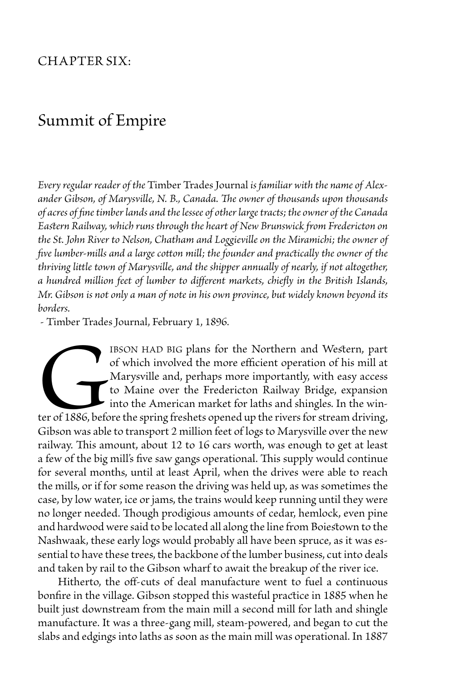## Chapter Six:

## Summit of Empire

*Every regular reader of the* Timber Trades Journal *is familiar with the name of Alexander Gibson, of Marysville, N. B., Canada. The owner of thousands upon thousands of acres of fine timber lands and the lessee of other large tracts; the owner of the Canada Eastern Railway, which runs through the heart of New Brunswick from Fredericton on the St. John River to Nelson, Chatham and Loggieville on the Miramichi; the owner of five lumber-mills and a large cotton mill; the founder and practically the owner of the thriving little town of Marysville, and the shipper annually of nearly, if not altogether, a hundred million feet of lumber to different markets, chiefly in the British Islands, Mr. Gibson is not only a man of note in his own province, but widely known beyond its borders.*

- Timber Trades Journal, February 1, 1896.

IBSON HAD BIG plans for the Northern and Western, part of which involved the more efficient operation of his mill at Marysville and, perhaps more importantly, with easy access to Maine over the Fredericton Railway Bridge, of which involved the more efficient operation of his mill at Marysville and, perhaps more importantly, with easy access to Maine over the Fredericton Railway Bridge, expansion into the American market for laths and shingles. In the winter of 1886, before the spring freshets opened up the rivers for stream driving, Gibson was able to transport 2 million feet of logs to Marysville over the new railway. This amount, about 12 to 16 cars worth, was enough to get at least a few of the big mill's five saw gangs operational. This supply would continue for several months, until at least April, when the drives were able to reach the mills, or if for some reason the driving was held up, as was sometimes the case, by low water, ice or jams, the trains would keep running until they were no longer needed. Though prodigious amounts of cedar, hemlock, even pine and hardwood were said to be located all along the line from Boiestown to the Nashwaak, these early logs would probably all have been spruce, as it was essential to have these trees, the backbone of the lumber business, cut into deals and taken by rail to the Gibson wharf to await the breakup of the river ice.

Hitherto, the off-cuts of deal manufacture went to fuel a continuous bonfire in the village. Gibson stopped this wasteful practice in 1885 when he built just downstream from the main mill a second mill for lath and shingle manufacture. It was a three-gang mill, steam-powered, and began to cut the slabs and edgings into laths as soon as the main mill was operational. In 1887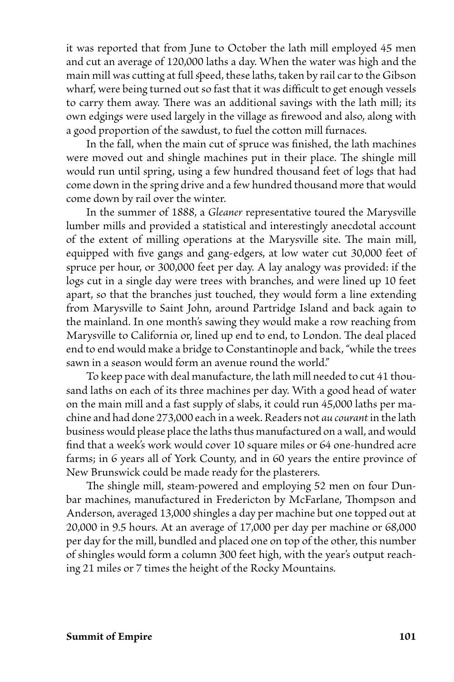it was reported that from June to October the lath mill employed 45 men and cut an average of 120,000 laths a day. When the water was high and the main mill was cutting at full speed, these laths, taken by rail car to the Gibson wharf, were being turned out so fast that it was difficult to get enough vessels to carry them away. There was an additional savings with the lath mill; its own edgings were used largely in the village as firewood and also, along with a good proportion of the sawdust, to fuel the cotton mill furnaces.

 In the fall, when the main cut of spruce was finished, the lath machines were moved out and shingle machines put in their place. The shingle mill would run until spring, using a few hundred thousand feet of logs that had come down in the spring drive and a few hundred thousand more that would come down by rail over the winter.

 In the summer of 1888, a *Gleaner* representative toured the Marysville lumber mills and provided a statistical and interestingly anecdotal account of the extent of milling operations at the Marysville site. The main mill, equipped with five gangs and gang-edgers, at low water cut 30,000 feet of spruce per hour, or 300,000 feet per day. A lay analogy was provided: if the logs cut in a single day were trees with branches, and were lined up 10 feet apart, so that the branches just touched, they would form a line extending from Marysville to Saint John, around Partridge Island and back again to the mainland. In one month's sawing they would make a row reaching from Marysville to California or, lined up end to end, to London. The deal placed end to end would make a bridge to Constantinople and back, "while the trees sawn in a season would form an avenue round the world."

 To keep pace with deal manufacture, the lath mill needed to cut 41 thousand laths on each of its three machines per day. With a good head of water on the main mill and a fast supply of slabs, it could run 45,000 laths per machine and had done 273,000 each in a week. Readers not *au courant* in the lath business would please place the laths thus manufactured on a wall, and would find that a week's work would cover 10 square miles or 64 one-hundred acre farms; in 6 years all of York County, and in 60 years the entire province of New Brunswick could be made ready for the plasterers.

The shingle mill, steam-powered and employing 52 men on four Dunbar machines, manufactured in Fredericton by McFarlane, Thompson and Anderson, averaged 13,000 shingles a day per machine but one topped out at 20,000 in 9.5 hours. At an average of 17,000 per day per machine or 68,000 per day for the mill, bundled and placed one on top of the other, this number of shingles would form a column 300 feet high, with the year's output reaching 21 miles or 7 times the height of the Rocky Mountains.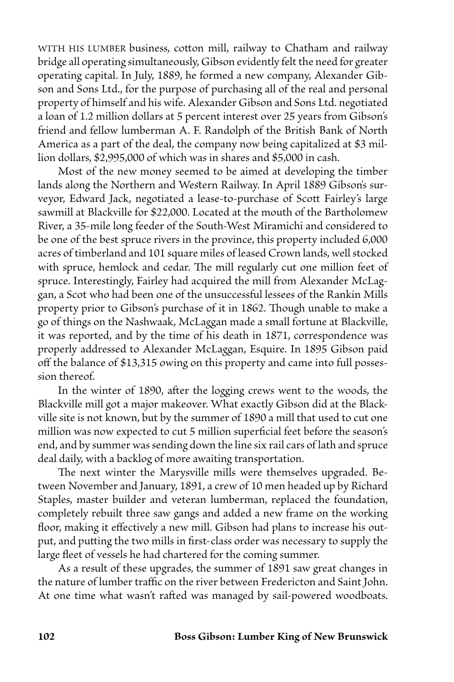WITH HIS LUMBER business, cotton mill, railway to Chatham and railway bridge all operating simultaneously, Gibson evidently felt the need for greater operating capital. In July, 1889, he formed a new company, Alexander Gibson and Sons Ltd., for the purpose of purchasing all of the real and personal property of himself and his wife. Alexander Gibson and Sons Ltd. negotiated a loan of 1.2 million dollars at 5 percent interest over 25 years from Gibson's friend and fellow lumberman A. F. Randolph of the British Bank of North America as a part of the deal, the company now being capitalized at \$3 million dollars, \$2,995,000 of which was in shares and \$5,000 in cash.

Most of the new money seemed to be aimed at developing the timber lands along the Northern and Western Railway. In April 1889 Gibson's surveyor, Edward Jack, negotiated a lease-to-purchase of Scott Fairley's large sawmill at Blackville for \$22,000. Located at the mouth of the Bartholomew River, a 35-mile long feeder of the South-West Miramichi and considered to be one of the best spruce rivers in the province, this property included 6,000 acres of timberland and 101 square miles of leased Crown lands, well stocked with spruce, hemlock and cedar. The mill regularly cut one million feet of spruce. Interestingly, Fairley had acquired the mill from Alexander McLaggan, a Scot who had been one of the unsuccessful lessees of the Rankin Mills property prior to Gibson's purchase of it in 1862. Though unable to make a go of things on the Nashwaak, McLaggan made a small fortune at Blackville, it was reported, and by the time of his death in 1871, correspondence was properly addressed to Alexander McLaggan, Esquire. In 1895 Gibson paid off the balance of \$13,315 owing on this property and came into full possession thereof.

 In the winter of 1890, after the logging crews went to the woods, the Blackville mill got a major makeover. What exactly Gibson did at the Blackville site is not known, but by the summer of 1890 a mill that used to cut one million was now expected to cut 5 million superficial feet before the season's end, and by summer was sending down the line six rail cars of lath and spruce deal daily, with a backlog of more awaiting transportation.

The next winter the Marysville mills were themselves upgraded. Between November and January, 1891, a crew of 10 men headed up by Richard Staples, master builder and veteran lumberman, replaced the foundation, completely rebuilt three saw gangs and added a new frame on the working floor, making it effectively a new mill. Gibson had plans to increase his output, and putting the two mills in first-class order was necessary to supply the large fleet of vessels he had chartered for the coming summer.

 As a result of these upgrades, the summer of 1891 saw great changes in the nature of lumber traffic on the river between Fredericton and Saint John. At one time what wasn't rafted was managed by sail-powered woodboats.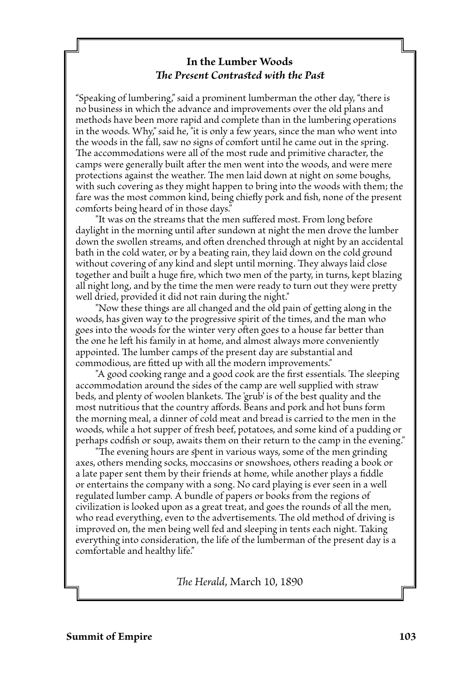## **In the Lumber Woods** *The Present Contrasted with the Past*

"Speaking of lumbering," said a prominent lumberman the other day, "there is no business in which the advance and improvements over the old plans and methods have been more rapid and complete than in the lumbering operations in the woods. Why," said he, "it is only a few years, since the man who went into the woods in the fall, saw no signs of comfort until he came out in the spring. The accommodations were all of the most rude and primitive character, the camps were generally built after the men went into the woods, and were mere protections against the weather. The men laid down at night on some boughs, with such covering as they might happen to bring into the woods with them; the fare was the most common kind, being chiefly pork and fish, none of the present comforts being heard of in those days."

"It was on the streams that the men suffered most. From long before daylight in the morning until after sundown at night the men drove the lumber down the swollen streams, and often drenched through at night by an accidental bath in the cold water, or by a beating rain, they laid down on the cold ground without covering of any kind and slept until morning. They always laid close together and built a huge fire, which two men of the party, in turns, kept blazing all night long, and by the time the men were ready to turn out they were pretty well dried, provided it did not rain during the night."

"Now these things are all changed and the old pain of getting along in the woods, has given way to the progressive spirit of the times, and the man who goes into the woods for the winter very often goes to a house far better than the one he left his family in at home, and almost always more conveniently appointed. The lumber camps of the present day are substantial and commodious, are fitted up with all the modern improvements."

"A good cooking range and a good cook are the first essentials. The sleeping accommodation around the sides of the camp are well supplied with straw beds, and plenty of woolen blankets. The 'grub' is of the best quality and the most nutritious that the country affords. Beans and pork and hot buns form the morning meal, a dinner of cold meat and bread is carried to the men in the woods, while a hot supper of fresh beef, potatoes, and some kind of a pudding or perhaps codfish or soup, awaits them on their return to the camp in the evening."

"The evening hours are spent in various ways, some of the men grinding axes, others mending socks, moccasins or snowshoes, others reading a book or a late paper sent them by their friends at home, while another plays a fiddle or entertains the company with a song. No card playing is ever seen in a well regulated lumber camp. A bundle of papers or books from the regions of civilization is looked upon as a great treat, and goes the rounds of all the men, who read everything, even to the advertisements. The old method of driving is improved on, the men being well fed and sleeping in tents each night. Taking everything into consideration, the life of the lumberman of the present day is a comfortable and healthy life."

*The Herald*, March 10, 1890